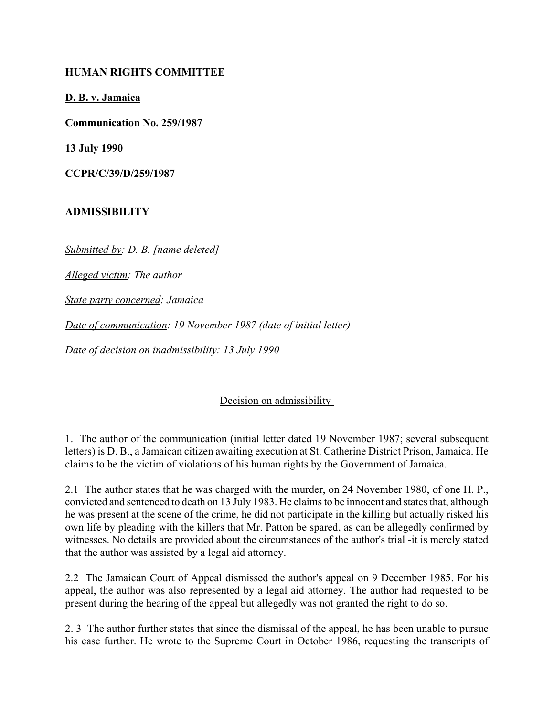## **HUMAN RIGHTS COMMITTEE**

**D. B. v. Jamaica**

**Communication No. 259/1987**

**13 July 1990**

**CCPR/C/39/D/259/1987** 

## **ADMISSIBILITY**

*Submitted by: D. B. [name deleted]* 

*Alleged victim: The author* 

*State party concerned: Jamaica* 

*Date of communication: 19 November 1987 (date of initial letter)* 

*Date of decision on inadmissibility: 13 July 1990* 

## Decision on admissibility

1. The author of the communication (initial letter dated 19 November 1987; several subsequent letters) is D. B., a Jamaican citizen awaiting execution at St. Catherine District Prison, Jamaica. He claims to be the victim of violations of his human rights by the Government of Jamaica.

2.1 The author states that he was charged with the murder, on 24 November 1980, of one H. P., convicted and sentenced to death on 13 July 1983. He claims to be innocent and states that, although he was present at the scene of the crime, he did not participate in the killing but actually risked his own life by pleading with the killers that Mr. Patton be spared, as can be allegedly confirmed by witnesses. No details are provided about the circumstances of the author's trial -it is merely stated that the author was assisted by a legal aid attorney.

2.2 The Jamaican Court of Appeal dismissed the author's appeal on 9 December 1985. For his appeal, the author was also represented by a legal aid attorney. The author had requested to be present during the hearing of the appeal but allegedly was not granted the right to do so.

2. 3 The author further states that since the dismissal of the appeal, he has been unable to pursue his case further. He wrote to the Supreme Court in October 1986, requesting the transcripts of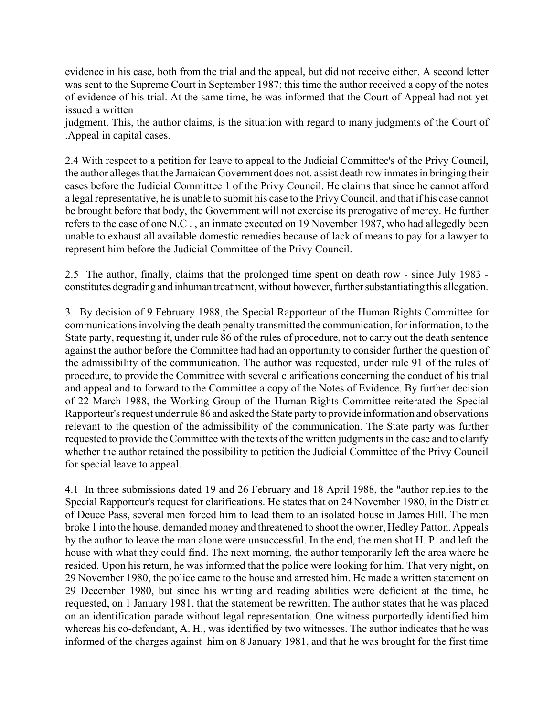evidence in his case, both from the trial and the appeal, but did not receive either. A second letter was sent to the Supreme Court in September 1987; this time the author received a copy of the notes of evidence of his trial. At the same time, he was informed that the Court of Appeal had not yet issued a written

judgment. This, the author claims, is the situation with regard to many judgments of the Court of .Appeal in capital cases.

2.4 With respect to a petition for leave to appeal to the Judicial Committee's of the Privy Council, the author alleges that the Jamaican Government does not. assist death row inmates in bringing their cases before the Judicial Committee 1 of the Privy Council. He claims that since he cannot afford a legal representative, he is unable to submit his case to the Privy Council, and that if his case cannot be brought before that body, the Government will not exercise its prerogative of mercy. He further refers to the case of one N.C . , an inmate executed on 19 November 1987, who had allegedly been unable to exhaust all available domestic remedies because of lack of means to pay for a lawyer to represent him before the Judicial Committee of the Privy Council.

2.5 The author, finally, claims that the prolonged time spent on death row - since July 1983 constitutes degrading and inhuman treatment, without however, further substantiating this allegation.

3. By decision of 9 February 1988, the Special Rapporteur of the Human Rights Committee for communications involving the death penalty transmitted the communication, for information, to the State party, requesting it, under rule 86 of the rules of procedure, not to carry out the death sentence against the author before the Committee had had an opportunity to consider further the question of the admissibility of the communication. The author was requested, under rule 91 of the rules of procedure, to provide the Committee with several clarifications concerning the conduct of his trial and appeal and to forward to the Committee a copy of the Notes of Evidence. By further decision of 22 March 1988, the Working Group of the Human Rights Committee reiterated the Special Rapporteur's request under rule 86 and asked the State party to provide information and observations relevant to the question of the admissibility of the communication. The State party was further requested to provide the Committee with the texts of the written judgments in the case and to clarify whether the author retained the possibility to petition the Judicial Committee of the Privy Council for special leave to appeal.

4.1 In three submissions dated 19 and 26 February and 18 April 1988, the "author replies to the Special Rapporteur's request for clarifications. He states that on 24 November 1980, in the District of Deuce Pass, several men forced him to lead them to an isolated house in James Hill. The men broke 1 into the house, demanded money and threatened to shoot the owner, Hedley Patton. Appeals by the author to leave the man alone were unsuccessful. In the end, the men shot H. P. and left the house with what they could find. The next morning, the author temporarily left the area where he resided. Upon his return, he was informed that the police were looking for him. That very night, on 29 November 1980, the police came to the house and arrested him. He made a written statement on 29 December 1980, but since his writing and reading abilities were deficient at the time, he requested, on 1 January 1981, that the statement be rewritten. The author states that he was placed on an identification parade without legal representation. One witness purportedly identified him whereas his co-defendant, A. H., was identified by two witnesses. The author indicates that he was informed of the charges against him on 8 January 1981, and that he was brought for the first time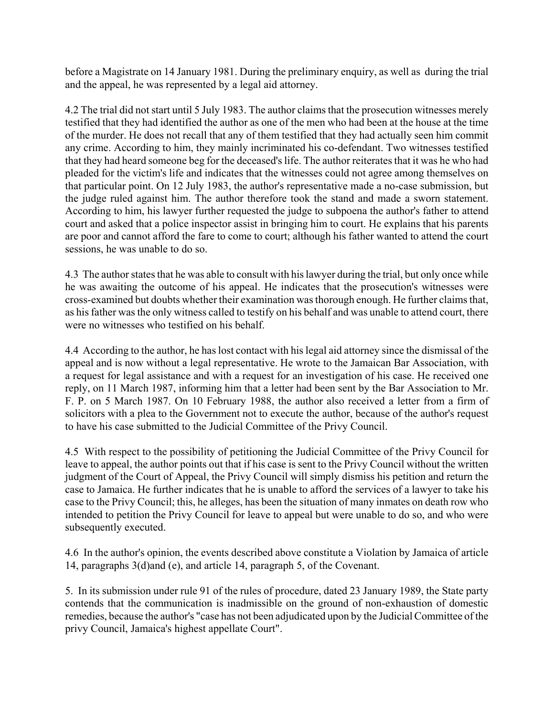before a Magistrate on 14 January 1981. During the preliminary enquiry, as well as during the trial and the appeal, he was represented by a legal aid attorney.

4.2 The trial did not start until 5 July 1983. The author claims that the prosecution witnesses merely testified that they had identified the author as one of the men who had been at the house at the time of the murder. He does not recall that any of them testified that they had actually seen him commit any crime. According to him, they mainly incriminated his co-defendant. Two witnesses testified that they had heard someone beg for the deceased's life. The author reiterates that it was he who had pleaded for the victim's life and indicates that the witnesses could not agree among themselves on that particular point. On 12 July 1983, the author's representative made a no-case submission, but the judge ruled against him. The author therefore took the stand and made a sworn statement. According to him, his lawyer further requested the judge to subpoena the author's father to attend court and asked that a police inspector assist in bringing him to court. He explains that his parents are poor and cannot afford the fare to come to court; although his father wanted to attend the court sessions, he was unable to do so.

4.3 The author states that he was able to consult with his lawyer during the trial, but only once while he was awaiting the outcome of his appeal. He indicates that the prosecution's witnesses were cross-examined but doubts whether their examination was thorough enough. He further claims that, as his father was the only witness called to testify on his behalf and was unable to attend court, there were no witnesses who testified on his behalf.

4.4 According to the author, he has lost contact with his legal aid attorney since the dismissal of the appeal and is now without a legal representative. He wrote to the Jamaican Bar Association, with a request for legal assistance and with a request for an investigation of his case. He received one reply, on 11 March 1987, informing him that a letter had been sent by the Bar Association to Mr. F. P. on 5 March 1987. On 10 February 1988, the author also received a letter from a firm of solicitors with a plea to the Government not to execute the author, because of the author's request to have his case submitted to the Judicial Committee of the Privy Council.

4.5 With respect to the possibility of petitioning the Judicial Committee of the Privy Council for leave to appeal, the author points out that if his case is sent to the Privy Council without the written judgment of the Court of Appeal, the Privy Council will simply dismiss his petition and return the case to Jamaica. He further indicates that he is unable to afford the services of a lawyer to take his case to the Privy Council; this, he alleges, has been the situation of many inmates on death row who intended to petition the Privy Council for leave to appeal but were unable to do so, and who were subsequently executed.

4.6 In the author's opinion, the events described above constitute a Violation by Jamaica of article 14, paragraphs 3(d)and (e), and article 14, paragraph 5, of the Covenant.

5. In its submission under rule 91 of the rules of procedure, dated 23 January 1989, the State party contends that the communication is inadmissible on the ground of non-exhaustion of domestic remedies, because the author's "case has not been adjudicated upon by the Judicial Committee of the privy Council, Jamaica's highest appellate Court".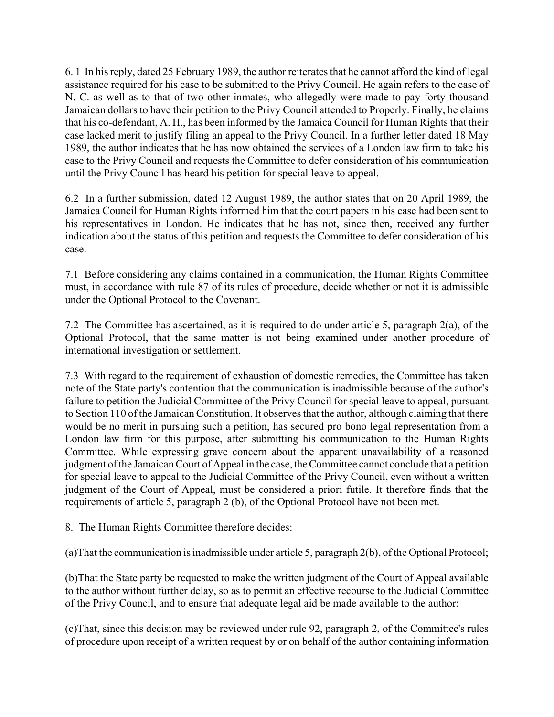6. 1 In his reply, dated 25 February 1989, the author reiterates that he cannot afford the kind of legal assistance required for his case to be submitted to the Privy Council. He again refers to the case of N. C. as well as to that of two other inmates, who allegedly were made to pay forty thousand Jamaican dollars to have their petition to the Privy Council attended to Properly. Finally, he claims that his co-defendant, A. H., has been informed by the Jamaica Council for Human Rights that their case lacked merit to justify filing an appeal to the Privy Council. In a further letter dated 18 May 1989, the author indicates that he has now obtained the services of a London law firm to take his case to the Privy Council and requests the Committee to defer consideration of his communication until the Privy Council has heard his petition for special leave to appeal.

6.2 In a further submission, dated 12 August 1989, the author states that on 20 April 1989, the Jamaica Council for Human Rights informed him that the court papers in his case had been sent to his representatives in London. He indicates that he has not, since then, received any further indication about the status of this petition and requests the Committee to defer consideration of his case.

7.1 Before considering any claims contained in a communication, the Human Rights Committee must, in accordance with rule 87 of its rules of procedure, decide whether or not it is admissible under the Optional Protocol to the Covenant.

7.2 The Committee has ascertained, as it is required to do under article 5, paragraph 2(a), of the Optional Protocol, that the same matter is not being examined under another procedure of international investigation or settlement.

7.3 With regard to the requirement of exhaustion of domestic remedies, the Committee has taken note of the State party's contention that the communication is inadmissible because of the author's failure to petition the Judicial Committee of the Privy Council for special leave to appeal, pursuant to Section 110 of the Jamaican Constitution. It observes that the author, although claiming that there would be no merit in pursuing such a petition, has secured pro bono legal representation from a London law firm for this purpose, after submitting his communication to the Human Rights Committee. While expressing grave concern about the apparent unavailability of a reasoned judgment of the Jamaican Court of Appeal in the case, the Committee cannot conclude that a petition for special leave to appeal to the Judicial Committee of the Privy Council, even without a written judgment of the Court of Appeal, must be considered a priori futile. It therefore finds that the requirements of article 5, paragraph 2 (b), of the Optional Protocol have not been met.

8. The Human Rights Committee therefore decides:

(a)That the communication is inadmissible under article 5, paragraph 2(b), of the Optional Protocol;

(b)That the State party be requested to make the written judgment of the Court of Appeal available to the author without further delay, so as to permit an effective recourse to the Judicial Committee of the Privy Council, and to ensure that adequate legal aid be made available to the author;

(c)That, since this decision may be reviewed under rule 92, paragraph 2, of the Committee's rules of procedure upon receipt of a written request by or on behalf of the author containing information